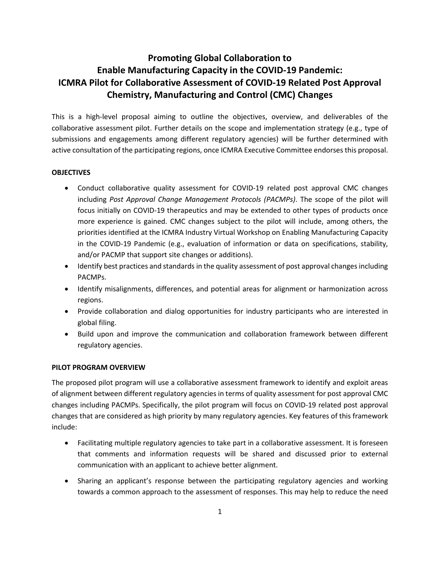## **Promoting Global Collaboration to Enable Manufacturing Capacity in the COVID-19 Pandemic: ICMRA Pilot for Collaborative Assessment of COVID-19 Related Post Approval Chemistry, Manufacturing and Control (CMC) Changes**

This is a high-level proposal aiming to outline the objectives, overview, and deliverables of the collaborative assessment pilot. Further details on the scope and implementation strategy (e.g., type of submissions and engagements among different regulatory agencies) will be further determined with active consultation of the participating regions, once ICMRA Executive Committee endorses this proposal.

## **OBJECTIVES**

- Conduct collaborative quality assessment for COVID-19 related post approval CMC changes including *Post Approval Change Management Protocols (PACMPs)*. The scope of the pilot will focus initially on COVID-19 therapeutics and may be extended to other types of products once more experience is gained. CMC changes subject to the pilot will include, among others, the priorities identified at the ICMRA Industry Virtual Workshop on Enabling Manufacturing Capacity in the COVID-19 Pandemic (e.g., evaluation of information or data on specifications, stability, and/or PACMP that support site changes or additions).
- Identify best practices and standards in the quality assessment of post approval changes including PACMPs.
- Identify misalignments, differences, and potential areas for alignment or harmonization across regions.
- Provide collaboration and dialog opportunities for industry participants who are interested in global filing.
- Build upon and improve the communication and collaboration framework between different regulatory agencies.

## **PILOT PROGRAM OVERVIEW**

The proposed pilot program will use a collaborative assessment framework to identify and exploit areas of alignment between different regulatory agencies in terms of quality assessment for post approval CMC changes including PACMPs. Specifically, the pilot program will focus on COVID-19 related post approval changes that are considered as high priority by many regulatory agencies. Key features of this framework include:

- Facilitating multiple regulatory agencies to take part in a collaborative assessment. It is foreseen that comments and information requests will be shared and discussed prior to external communication with an applicant to achieve better alignment.
- Sharing an applicant's response between the participating regulatory agencies and working towards a common approach to the assessment of responses. This may help to reduce the need